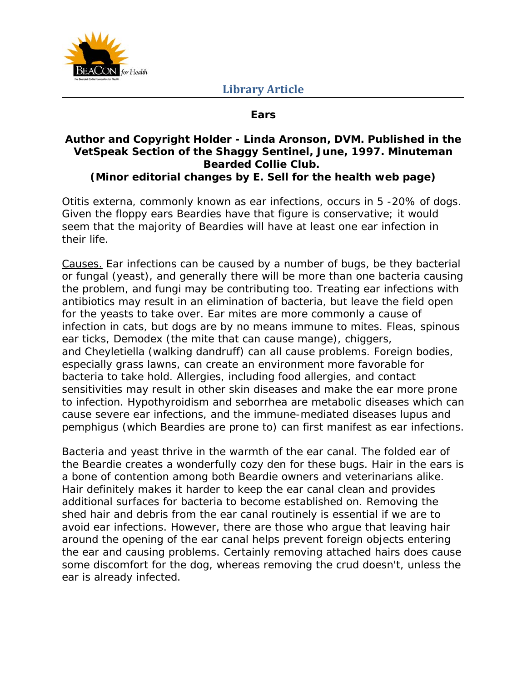

## **Ears**

## **Author and Copyright Holder - Linda Aronson, DVM. Published in the VetSpeak Section of the Shaggy Sentinel, June, 1997. Minuteman Bearded Collie Club. (Minor editorial changes by E. Sell for the health web page)**

Otitis externa, commonly known as ear infections, occurs in 5 -20% of dogs. Given the floppy ears Beardies have that figure is conservative; it would seem that the majority of Beardies will have at least one ear infection in their life.

Causes. Ear infections can be caused by a number of bugs, be they bacterial or fungal (yeast), and generally there will be more than one bacteria causing the problem, and fungi may be contributing too. Treating ear infections with antibiotics may result in an elimination of bacteria, but leave the field open for the yeasts to take over. Ear mites are more commonly a cause of infection in cats, but dogs are by no means immune to mites. Fleas, spinous ear ticks, *Demodex* (the mite that can cause mange), chiggers, and *Cheyletiella* (walking dandruff) can all cause problems. Foreign bodies, especially grass lawns, can create an environment more favorable for bacteria to take hold. Allergies, including food allergies, and contact sensitivities may result in other skin diseases and make the ear more prone to infection. Hypothyroidism and seborrhea are metabolic diseases which can cause severe ear infections, and the immune-mediated diseases lupus and pemphigus (which Beardies are prone to) can first manifest as ear infections.

Bacteria and yeast thrive in the warmth of the ear canal. The folded ear of the Beardie creates a wonderfully cozy den for these bugs. Hair in the ears is a bone of contention among both Beardie owners and veterinarians alike. Hair definitely makes it harder to keep the ear canal clean and provides additional surfaces for bacteria to become established on. Removing the shed hair and debris from the ear canal routinely is essential if we are to avoid ear infections. However, there are those who argue that leaving hair around the opening of the ear canal helps prevent foreign objects entering the ear and causing problems. Certainly removing attached hairs does cause some discomfort for the dog, whereas removing the crud doesn't, unless the ear is already infected.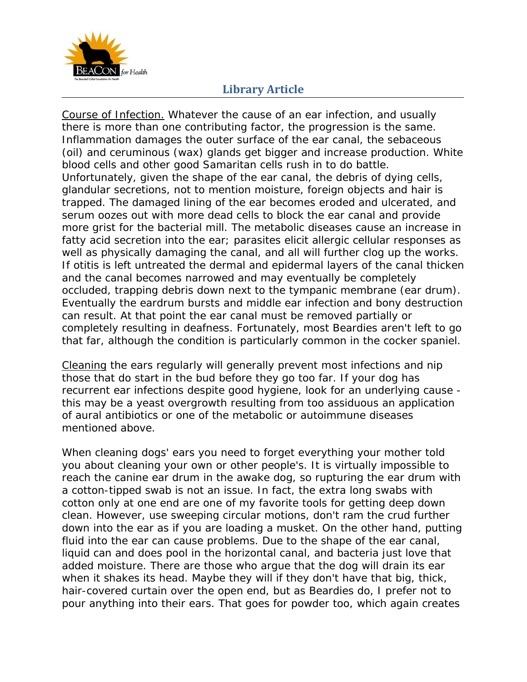

## **Library Article**

Course of Infection. Whatever the cause of an ear infection, and usually there is more than one contributing factor, the progression is the same. Inflammation damages the outer surface of the ear canal, the sebaceous (oil) and ceruminous (wax) glands get bigger and increase production. White blood cells and other good Samaritan cells rush in to do battle. Unfortunately, given the shape of the ear canal, the debris of dying cells, glandular secretions, not to mention moisture, foreign objects and hair is trapped. The damaged lining of the ear becomes eroded and ulcerated, and serum oozes out with more dead cells to block the ear canal and provide more grist for the bacterial mill. The metabolic diseases cause an increase in fatty acid secretion into the ear; parasites elicit allergic cellular responses as well as physically damaging the canal, and all will further clog up the works. If otitis is left untreated the dermal and epidermal layers of the canal thicken and the canal becomes narrowed and may eventually be completely occluded, trapping debris down next to the tympanic membrane (ear drum). Eventually the eardrum bursts and middle ear infection and bony destruction can result. At that point the ear canal must be removed partially or completely resulting in deafness. Fortunately, most Beardies aren't left to go that far, although the condition is particularly common in the cocker spaniel.

Cleaning the ears regularly will generally prevent most infections and nip those that do start in the bud before they go too far. If your dog has recurrent ear infections despite good hygiene, look for an underlying cause this may be a yeast overgrowth resulting from too assiduous an application of aural antibiotics or one of the metabolic or autoimmune diseases mentioned above.

When cleaning dogs' ears you need to forget everything your mother told you about cleaning your own or other people's. It is virtually impossible to reach the canine ear drum in the awake dog, so rupturing the ear drum with a cotton-tipped swab is not an issue. In fact, the extra long swabs with cotton only at one end are one of my favorite tools for getting deep down clean. However, use sweeping circular motions, don't ram the crud further down into the ear as if you are loading a musket. On the other hand, putting fluid into the ear can cause problems. Due to the shape of the ear canal, liquid can and does pool in the horizontal canal, and bacteria just love that added moisture. There are those who argue that the dog will drain its ear when it shakes its head. Maybe they will if they don't have that big, thick, hair-covered curtain over the open end, but as Beardies do, I prefer not to pour anything into their ears. That goes for powder too, which again creates